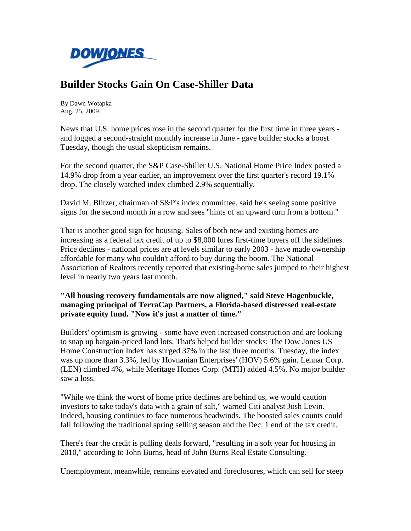

## **Builder Stocks Gain On Case-Shiller Data**

By Dawn Wotapka Aug. 25, 2009

News that U.S. home prices rose in the second quarter for the first time in three years and logged a second-straight monthly increase in June - gave builder stocks a boost Tuesday, though the usual skepticism remains.

For the second quarter, the S&P Case-Shiller U.S. National Home Price Index posted a 14.9% drop from a year earlier, an improvement over the first quarter's record 19.1% drop. The closely watched index climbed 2.9% sequentially.

David M. Blitzer, chairman of S&P's index committee, said he's seeing some positive signs for the second month in a row and sees "hints of an upward turn from a bottom."

That is another good sign for housing. Sales of both new and existing homes are increasing as a federal tax credit of up to \$8,000 lures first-time buyers off the sidelines. Price declines - national prices are at levels similar to early 2003 - have made ownership affordable for many who couldn't afford to buy during the boom. The National Association of Realtors recently reported that existing-home sales jumped to their highest level in nearly two years last month.

**"All housing recovery fundamentals are now aligned," said Steve Hagenbuckle, managing principal of TerraCap Partners, a Florida-based distressed real-estate private equity fund. "Now it's just a matter of time."** 

Builders' optimism is growing - some have even increased construction and are looking to snap up bargain-priced land lots. That's helped builder stocks: The Dow Jones US Home Construction Index has surged 37% in the last three months. Tuesday, the index was up more than 3.3%, led by Hovnanian Enterprises' (HOV) 5.6% gain. Lennar Corp. (LEN) climbed 4%, while Meritage Homes Corp. (MTH) added 4.5%. No major builder saw a loss.

"While we think the worst of home price declines are behind us, we would caution investors to take today's data with a grain of salt," warned Citi analyst Josh Levin. Indeed, housing continues to face numerous headwinds. The boosted sales counts could fall following the traditional spring selling season and the Dec. 1 end of the tax credit.

There's fear the credit is pulling deals forward, "resulting in a soft year for housing in 2010," according to John Burns, head of John Burns Real Estate Consulting.

Unemployment, meanwhile, remains elevated and foreclosures, which can sell for steep